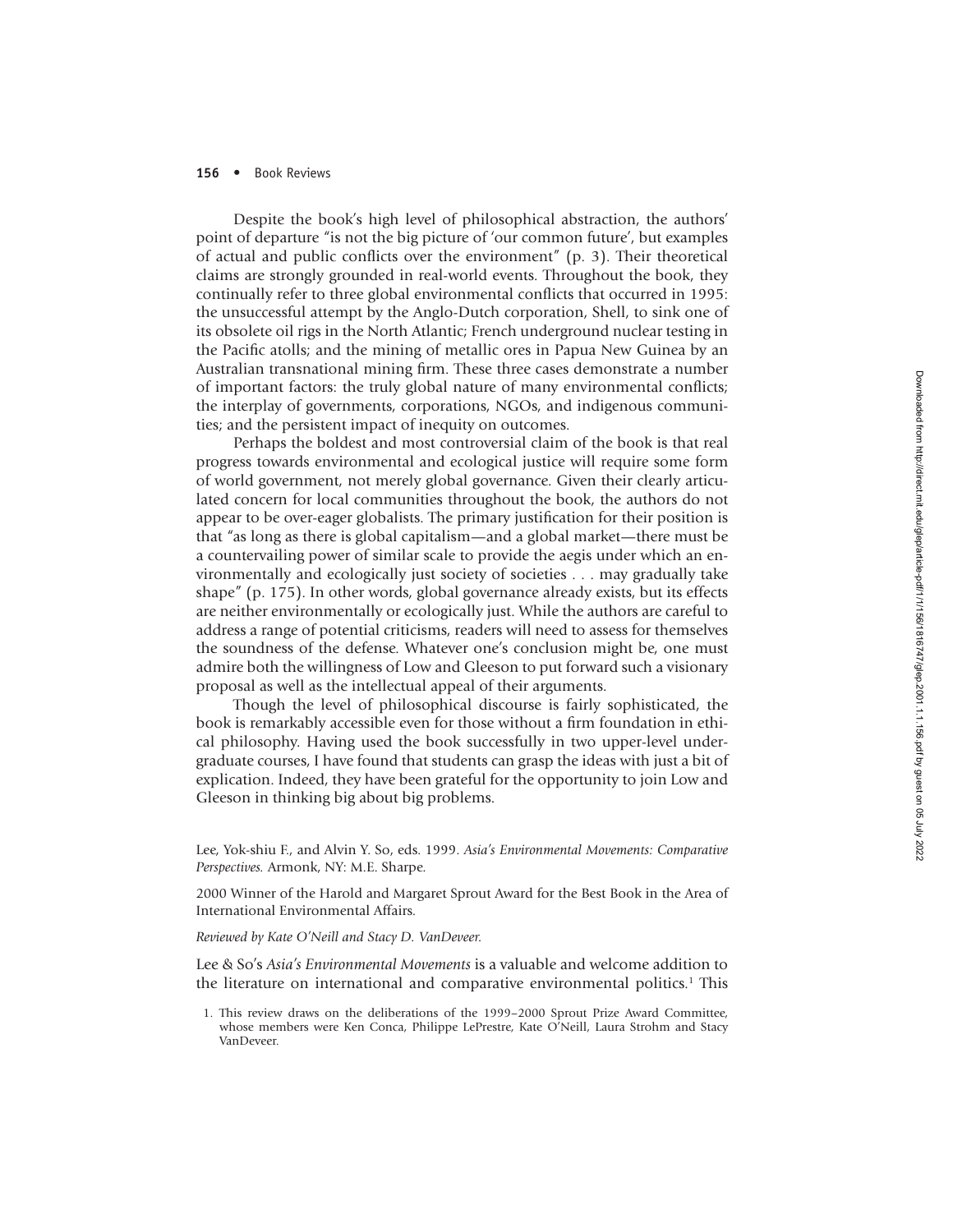## **156** • Book Reviews

Despite the book's high level of philosophical abstraction, the authors' point of departure "is not the big picture of 'our common future', but examples of actual and public conflicts over the environment" (p. 3). Their theoretical claims are strongly grounded in real-world events. Throughout the book, they continually refer to three global environmental conflicts that occurred in 1995: the unsuccessful attempt by the Anglo-Dutch corporation, Shell, to sink one of its obsolete oil rigs in the North Atlantic; French underground nuclear testing in the Pacific atolls; and the mining of metallic ores in Papua New Guinea by an Australian transnational mining firm. These three cases demonstrate a number of important factors: the truly global nature of many environmental conflicts; the interplay of governments, corporations, NGOs, and indigenous communities; and the persistent impact of inequity on outcomes.

Perhaps the boldest and most controversial claim of the book is that real progress towards environmental and ecological justice will require some form of world government, not merely global governance. Given their clearly articulated concern for local communities throughout the book, the authors do not appear to be over-eager globalists. The primary justification for their position is that "as long as there is global capitalism—and a global market—there must be a countervailing power of similar scale to provide the aegis under which an environmentally and ecologically just society of societies . . . may gradually take shape" (p. 175). In other words, global governance already exists, but its effects are neither environmentally or ecologically just. While the authors are careful to address a range of potential criticisms, readers will need to assess for themselves the soundness of the defense. Whatever one's conclusion might be, one must admire both the willingness of Low and Gleeson to put forward such a visionary proposal as well as the intellectual appeal of their arguments.

Though the level of philosophical discourse is fairly sophisticated, the book is remarkably accessible even for those without a firm foundation in ethical philosophy. Having used the book successfully in two upper-level under graduate courses, I have found that students can grasp the ideas with just a bit of explication. Indeed, they have been grateful for the opportunity to join Low and Gleeson in thinking big about big problems.

Lee, Yok-shiu F., and Alvin Y. So, eds. 1999. *Asia's Environmental Movements: Comparative Perspectives.* Armonk, NY: M.E. Sharpe.

2000 Winner of the Harold and Margaret Sprout Award for the Best Book in the Area of International Environmental Affairs.

*Reviewed by Kate O'Neill and Stacy D. VanDeveer.*

Lee & So's *Asia's Environmental Movements* is a valuable and welcome addition to the literature on international and comparative environmental politics. <sup>1</sup> This

1. This review draws on the deliberations of the 1999–2000 Sprout Prize Award Committee, whose members were Ken Conca, Philippe LePrestre, Kate O<sup>'</sup>Neill, Laura Strohm and Stacy VanDeveer.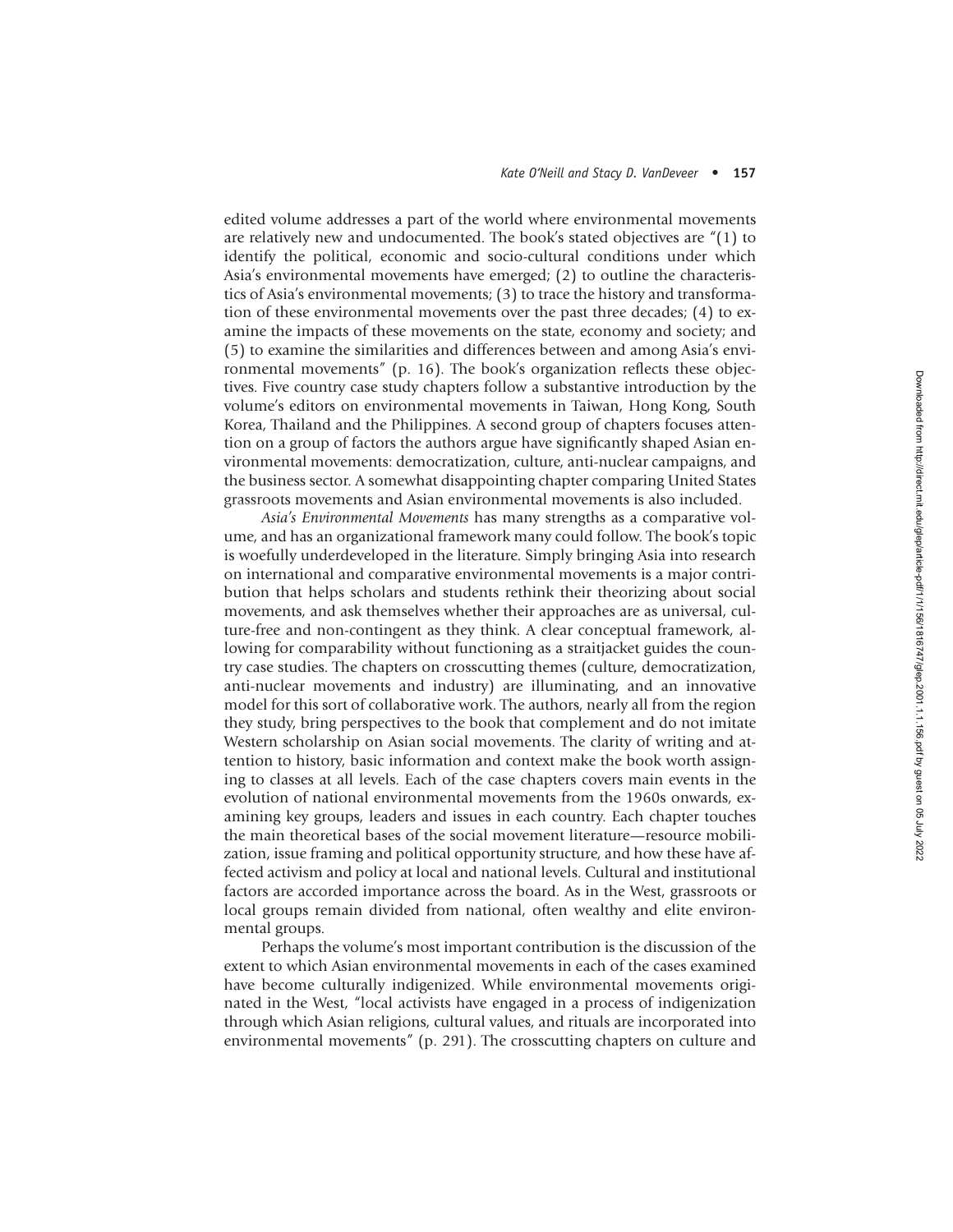## *Kate O'Neill and Stacy D. VanDeveer* • **157**

edited volume addresses a part of the world where environmental movements are relatively new and undocumented. The book's stated objectives are "(1) to identify the political, economic and socio-cultural conditions under which Asia's environmental movements have emerged; (2) to outline the characteris tics of Asia's environmental movements; (3) to trace the history and transformation of these environmental movements over the past three decades; (4) to examine the impacts of these movements on the state, economy and society; and (5) to examine the similarities and differences between and among Asia's envi ronmental movements" (p. 16). The book's organization reflects these objectives. Five country case study chapters follow a substantive introduction by the volume's editors on environmental movements in Taiwan, Hong Kong, South Korea, Thailand and the Philippines. A second group of chapters focuses attention on a group of factors the authors argue have significantly shaped Asian environmental movements: democratization, culture, anti-nuclear campaigns, and the business sector. A somewhat disappointing chapter comparing United States grassroots movements and Asian environmental movements is also included.

*Asia's Environmental Movements* has many strengths as a comparative volume, and has an organizational framework many could follow. The book's topic is woefully underdeveloped in the literature. Simply bringing Asia into research on international and comparative environmental movements is a major contribution that helps scholars and students rethink their theorizing about social movements, and ask themselves whether their approaches are as universal, culture-free and non-contingent as they think. A clear conceptual framework, allowing for comparability without functioning as a straitjacket guides the country case studies. The chapters on crosscutting themes (culture, democratization, anti-nuclear movements and industry) are illuminating, and an innovative model for this sort of collaborative work. The authors, nearly all from the region they study, bring perspectives to the book that complement and do not imitate Western scholarship on Asian social movements. The clarity of writing and attention to history, basic information and context make the book worth assign ing to classes at all levels. Each of the case chapters covers main events in the evolution of national environmental movements from the 1960s onwards, examining key groups, leaders and issues in each country. Each chapter touches the main theoretical bases of the social movement literature—resource mobilization, issue framing and political opportunity structure, and how these have affected activism and policy at local and national levels. Cultural and institutional factors are accorded importance across the board. As in the West, grassroots or local groups remain divided from national, often wealthy and elite environ mental groups.

Perhaps the volume's most important contribution is the discussion of the extent to which Asian environmental movements in each of the cases examined have become culturally indigenized. While environmental movements origi nated in the West, "local activists have engaged in a process of indigenization through which Asian religions, cultural values, and rituals are incorporated into environmental movements" (p. 291). The crosscutting chapters on culture and